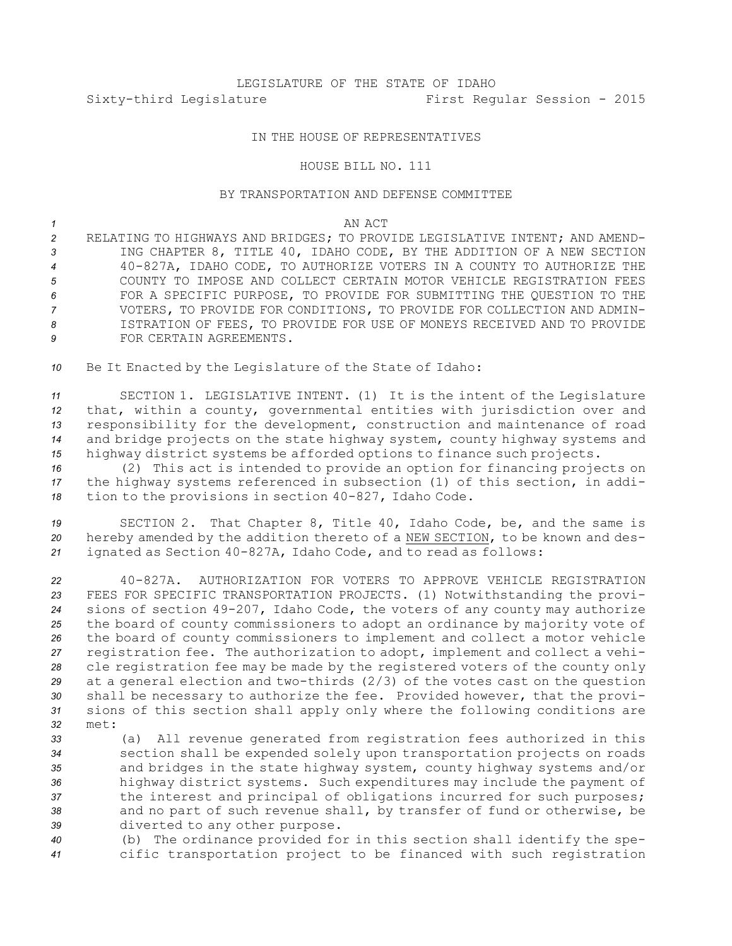# LEGISLATURE OF THE STATE OF IDAHO Sixty-third Legislature First Regular Session - 2015

# IN THE HOUSE OF REPRESENTATIVES

### HOUSE BILL NO. 111

# BY TRANSPORTATION AND DEFENSE COMMITTEE

#### *1* AN ACT

 RELATING TO HIGHWAYS AND BRIDGES; TO PROVIDE LEGISLATIVE INTENT; AND AMEND- ING CHAPTER 8, TITLE 40, IDAHO CODE, BY THE ADDITION OF A NEW SECTION 40-827A, IDAHO CODE, TO AUTHORIZE VOTERS IN A COUNTY TO AUTHORIZE THE COUNTY TO IMPOSE AND COLLECT CERTAIN MOTOR VEHICLE REGISTRATION FEES FOR A SPECIFIC PURPOSE, TO PROVIDE FOR SUBMITTING THE QUESTION TO THE VOTERS, TO PROVIDE FOR CONDITIONS, TO PROVIDE FOR COLLECTION AND ADMIN- ISTRATION OF FEES, TO PROVIDE FOR USE OF MONEYS RECEIVED AND TO PROVIDE FOR CERTAIN AGREEMENTS.

*<sup>10</sup>* Be It Enacted by the Legislature of the State of Idaho:

 SECTION 1. LEGISLATIVE INTENT. (1) It is the intent of the Legislature that, within <sup>a</sup> county, governmental entities with jurisdiction over and responsibility for the development, construction and maintenance of road and bridge projects on the state highway system, county highway systems and highway district systems be afforded options to finance such projects.

*<sup>16</sup>* (2) This act is intended to provide an option for financing projects on *<sup>17</sup>* the highway systems referenced in subsection (1) of this section, in addi-*<sup>18</sup>* tion to the provisions in section 40-827, Idaho Code.

*<sup>19</sup>* SECTION 2. That Chapter 8, Title 40, Idaho Code, be, and the same is *<sup>20</sup>* hereby amended by the addition thereto of <sup>a</sup> NEW SECTION, to be known and des-*<sup>21</sup>* ignated as Section 40-827A, Idaho Code, and to read as follows:

 40-827A. AUTHORIZATION FOR VOTERS TO APPROVE VEHICLE REGISTRATION FEES FOR SPECIFIC TRANSPORTATION PROJECTS. (1) Notwithstanding the provi- sions of section 49-207, Idaho Code, the voters of any county may authorize the board of county commissioners to adopt an ordinance by majority vote of the board of county commissioners to implement and collect <sup>a</sup> motor vehicle registration fee. The authorization to adopt, implement and collect <sup>a</sup> vehi- cle registration fee may be made by the registered voters of the county only at <sup>a</sup> general election and two-thirds (2/3) of the votes cast on the question shall be necessary to authorize the fee. Provided however, that the provi- sions of this section shall apply only where the following conditions are *32* met:

 (a) All revenue generated from registration fees authorized in this section shall be expended solely upon transportation projects on roads and bridges in the state highway system, county highway systems and/or highway district systems. Such expenditures may include the payment of the interest and principal of obligations incurred for such purposes; and no part of such revenue shall, by transfer of fund or otherwise, be diverted to any other purpose.

*<sup>40</sup>* (b) The ordinance provided for in this section shall identify the spe-*<sup>41</sup>* cific transportation project to be financed with such registration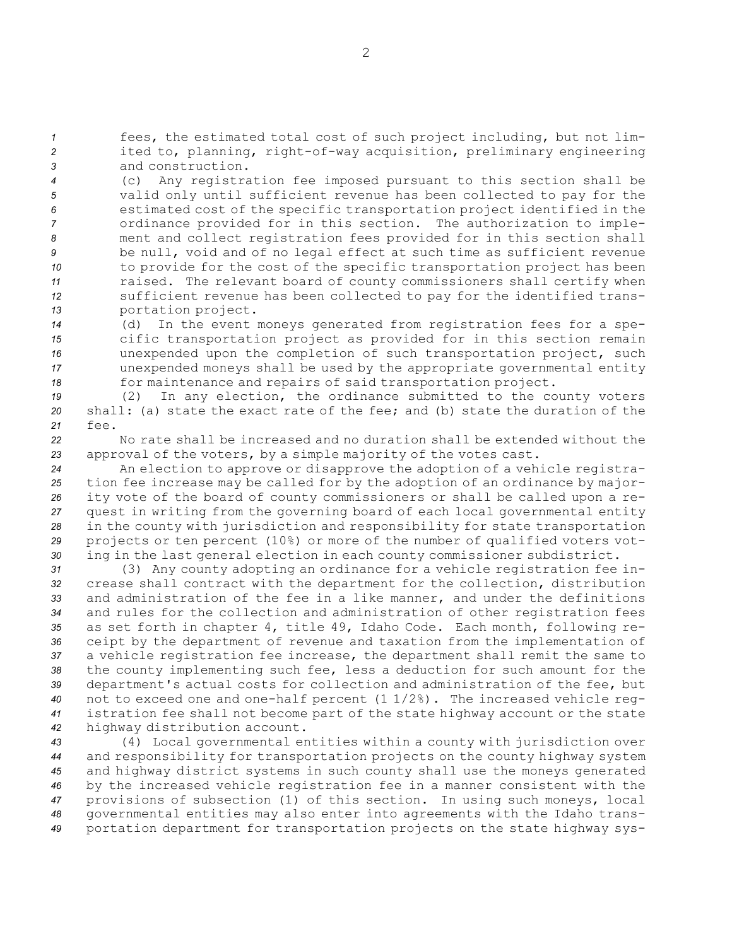*<sup>1</sup>* fees, the estimated total cost of such project including, but not lim-*<sup>2</sup>* ited to, planning, right-of-way acquisition, preliminary engineering *3* and construction.

 (c) Any registration fee imposed pursuant to this section shall be valid only until sufficient revenue has been collected to pay for the estimated cost of the specific transportation project identified in the ordinance provided for in this section. The authorization to imple- ment and collect registration fees provided for in this section shall be null, void and of no legal effect at such time as sufficient revenue to provide for the cost of the specific transportation project has been raised. The relevant board of county commissioners shall certify when sufficient revenue has been collected to pay for the identified trans-portation project.

 (d) In the event moneys generated from registration fees for <sup>a</sup> spe- cific transportation project as provided for in this section remain unexpended upon the completion of such transportation project, such unexpended moneys shall be used by the appropriate governmental entity for maintenance and repairs of said transportation project.

*<sup>19</sup>* (2) In any election, the ordinance submitted to the county voters *20* shall: (a) state the exact rate of the fee; and (b) state the duration of the *21* fee.

*22* No rate shall be increased and no duration shall be extended without the *<sup>23</sup>* approval of the voters, by <sup>a</sup> simple majority of the votes cast.

 An election to approve or disapprove the adoption of <sup>a</sup> vehicle registra- tion fee increase may be called for by the adoption of an ordinance by major- ity vote of the board of county commissioners or shall be called upon <sup>a</sup> re- quest in writing from the governing board of each local governmental entity in the county with jurisdiction and responsibility for state transportation projects or ten percent (10%) or more of the number of qualified voters vot-ing in the last general election in each county commissioner subdistrict.

 (3) Any county adopting an ordinance for <sup>a</sup> vehicle registration fee in- crease shall contract with the department for the collection, distribution and administration of the fee in <sup>a</sup> like manner, and under the definitions and rules for the collection and administration of other registration fees as set forth in chapter 4, title 49, Idaho Code. Each month, following re- ceipt by the department of revenue and taxation from the implementation of <sup>a</sup> vehicle registration fee increase, the department shall remit the same to the county implementing such fee, less <sup>a</sup> deduction for such amount for the department's actual costs for collection and administration of the fee, but not to exceed one and one-half percent (1 1/2%). The increased vehicle reg- istration fee shall not become part of the state highway account or the state highway distribution account.

 (4) Local governmental entities within <sup>a</sup> county with jurisdiction over and responsibility for transportation projects on the county highway system and highway district systems in such county shall use the moneys generated by the increased vehicle registration fee in <sup>a</sup> manner consistent with the provisions of subsection (1) of this section. In using such moneys, local governmental entities may also enter into agreements with the Idaho trans-portation department for transportation projects on the state highway sys-